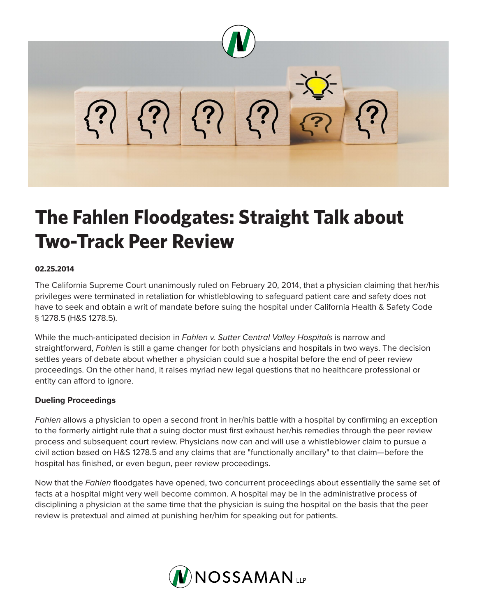

# **The Fahlen Floodgates: Straight Talk about Two-Track Peer Review**

### **02.25.2014**

The California Supreme Court unanimously ruled on February 20, 2014, that a physician claiming that her/his privileges were terminated in retaliation for whistleblowing to safeguard patient care and safety does not have to seek and obtain a writ of mandate before suing the hospital under California Health & Safety Code § 1278.5 (H&S 1278.5).

While the much-anticipated decision in *Fahlen v. Sutter Central Valley Hospitals* is narrow and straightforward, *Fahlen* is still a game changer for both physicians and hospitals in two ways. The decision settles years of debate about whether a physician could sue a hospital before the end of peer review proceedings. On the other hand, it raises myriad new legal questions that no healthcare professional or entity can afford to ignore.

# **Dueling Proceedings**

*Fahlen* allows a physician to open a second front in her/his battle with a hospital by confirming an exception to the formerly airtight rule that a suing doctor must first exhaust her/his remedies through the peer review process and subsequent court review. Physicians now can and will use a whistleblower claim to pursue a civil action based on H&S 1278.5 and any claims that are "functionally ancillary" to that claim—before the hospital has finished, or even begun, peer review proceedings.

Now that the *Fahlen* floodgates have opened, two concurrent proceedings about essentially the same set of facts at a hospital might very well become common. A hospital may be in the administrative process of disciplining a physician at the same time that the physician is suing the hospital on the basis that the peer review is pretextual and aimed at punishing her/him for speaking out for patients.

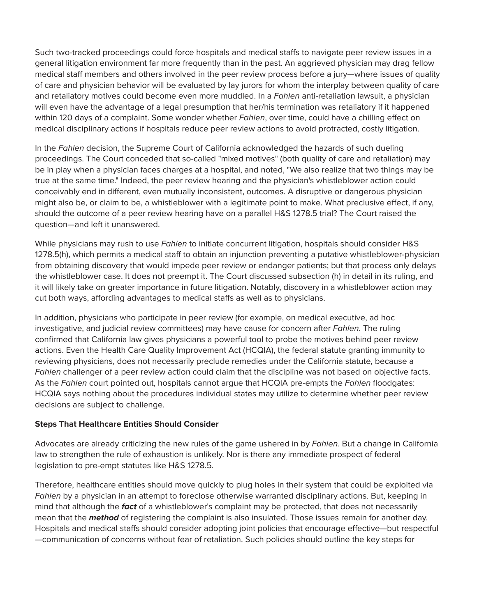Such two-tracked proceedings could force hospitals and medical staffs to navigate peer review issues in a general litigation environment far more frequently than in the past. An aggrieved physician may drag fellow medical staff members and others involved in the peer review process before a jury—where issues of quality of care and physician behavior will be evaluated by lay jurors for whom the interplay between quality of care and retaliatory motives could become even more muddled. In a *Fahlen* anti-retaliation lawsuit, a physician will even have the advantage of a legal presumption that her/his termination was retaliatory if it happened within 120 days of a complaint. Some wonder whether *Fahlen*, over time, could have a chilling effect on medical disciplinary actions if hospitals reduce peer review actions to avoid protracted, costly litigation.

In the *Fahlen* decision, the Supreme Court of California acknowledged the hazards of such dueling proceedings. The Court conceded that so-called "mixed motives" (both quality of care and retaliation) may be in play when a physician faces charges at a hospital, and noted, "We also realize that two things may be true at the same time." Indeed, the peer review hearing and the physician's whistleblower action could conceivably end in different, even mutually inconsistent, outcomes. A disruptive or dangerous physician might also be, or claim to be, a whistleblower with a legitimate point to make. What preclusive effect, if any, should the outcome of a peer review hearing have on a parallel H&S 1278.5 trial? The Court raised the question—and left it unanswered.

While physicians may rush to use *Fahlen* to initiate concurrent litigation, hospitals should consider H&S 1278.5(h), which permits a medical staff to obtain an injunction preventing a putative whistleblower-physician from obtaining discovery that would impede peer review or endanger patients; but that process only delays the whistleblower case. It does not preempt it. The Court discussed subsection (h) in detail in its ruling, and it will likely take on greater importance in future litigation. Notably, discovery in a whistleblower action may cut both ways, affording advantages to medical staffs as well as to physicians.

In addition, physicians who participate in peer review (for example, on medical executive, ad hoc investigative, and judicial review committees) may have cause for concern after *Fahlen*. The ruling confirmed that California law gives physicians a powerful tool to probe the motives behind peer review actions. Even the Health Care Quality Improvement Act (HCQIA), the federal statute granting immunity to reviewing physicians, does not necessarily preclude remedies under the California statute, because a *Fahlen* challenger of a peer review action could claim that the discipline was not based on objective facts. As the *Fahlen* court pointed out, hospitals cannot argue that HCQIA pre-empts the *Fahlen* floodgates: HCQIA says nothing about the procedures individual states may utilize to determine whether peer review decisions are subject to challenge.

# **Steps That Healthcare Entities Should Consider**

Advocates are already criticizing the new rules of the game ushered in by *Fahlen*. But a change in California law to strengthen the rule of exhaustion is unlikely. Nor is there any immediate prospect of federal legislation to pre-empt statutes like H&S 1278.5.

Therefore, healthcare entities should move quickly to plug holes in their system that could be exploited via *Fahlen* by a physician in an attempt to foreclose otherwise warranted disciplinary actions. But, keeping in mind that although the *fact* of a whistleblower's complaint may be protected, that does not necessarily mean that the *method* of registering the complaint is also insulated. Those issues remain for another day. Hospitals and medical staffs should consider adopting joint policies that encourage effective—but respectful —communication of concerns without fear of retaliation. Such policies should outline the key steps for